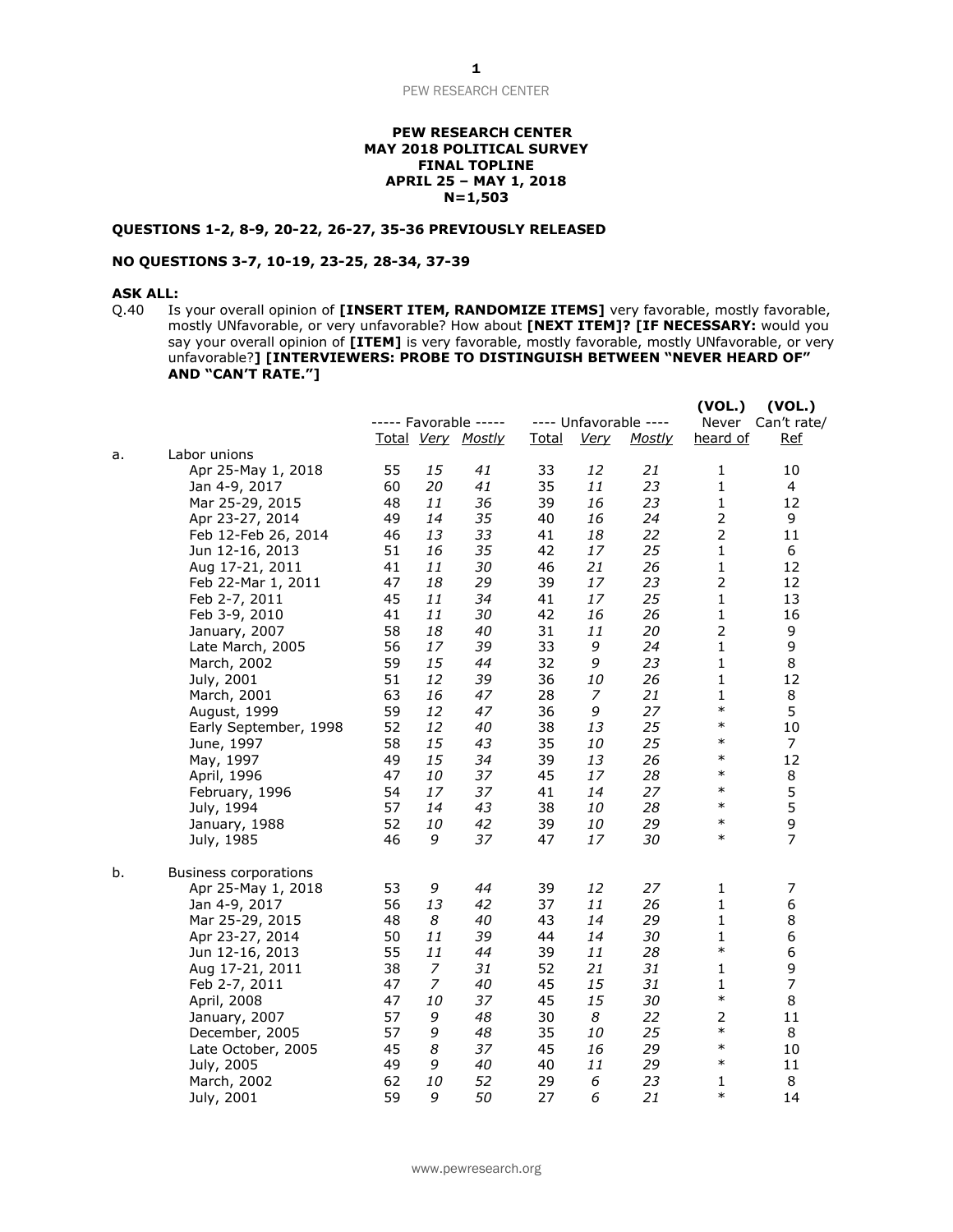PEW RESEARCH CENTER

### **PEW RESEARCH CENTER MAY 2018 POLITICAL SURVEY FINAL TOPLINE APRIL 25 – MAY 1, 2018 N=1,503**

### **QUESTIONS 1-2, 8-9, 20-22, 26-27, 35-36 PREVIOUSLY RELEASED**

#### **NO QUESTIONS 3-7, 10-19, 23-25, 28-34, 37-39**

### **ASK ALL:**

Q.40 Is your overall opinion of **[INSERT ITEM, RANDOMIZE ITEMS]** very favorable, mostly favorable, mostly UNfavorable, or very unfavorable? How about **[NEXT ITEM]? [IF NECESSARY:** would you say your overall opinion of **[ITEM]** is very favorable, mostly favorable, mostly UNfavorable, or very unfavorable?**] [INTERVIEWERS: PROBE TO DISTINGUISH BETWEEN "NEVER HEARD OF" AND "CAN'T RATE."]**

|    |                              |    |    | ----- Favorable -----<br>Total Very Mostly | <b>Total</b> | <b>Very</b> | ---- Unfavorable ----<br><u>Mostly</u> | (VOL.)<br>Never<br>heard of | (VOL.)<br>Can't rate/<br><u>Ref</u> |
|----|------------------------------|----|----|--------------------------------------------|--------------|-------------|----------------------------------------|-----------------------------|-------------------------------------|
| a. | Labor unions                 |    |    |                                            |              |             |                                        |                             |                                     |
|    | Apr 25-May 1, 2018           | 55 | 15 | 41                                         | 33           | 12          | 21                                     | 1                           | 10                                  |
|    | Jan 4-9, 2017                | 60 | 20 | 41                                         | 35           | 11          | 23                                     | $\mathbf 1$                 | 4                                   |
|    | Mar 25-29, 2015              | 48 | 11 | 36                                         | 39           | 16          | 23                                     | $\mathbf 1$                 | 12                                  |
|    | Apr 23-27, 2014              | 49 | 14 | 35                                         | 40           | 16          | 24                                     | $\mathbf 2$                 | 9                                   |
|    | Feb 12-Feb 26, 2014          | 46 | 13 | 33                                         | 41           | 18          | 22                                     | $\overline{2}$              | 11                                  |
|    | Jun 12-16, 2013              | 51 | 16 | 35                                         | 42           | 17          | 25                                     | $\mathbf{1}$                | 6                                   |
|    | Aug 17-21, 2011              | 41 | 11 | 30                                         | 46           | 21          | 26                                     | $\mathbf{1}$                | 12                                  |
|    | Feb 22-Mar 1, 2011           | 47 | 18 | 29                                         | 39           | 17          | 23                                     | $\mathbf 2$                 | 12                                  |
|    | Feb 2-7, 2011                | 45 | 11 | 34                                         | 41           | 17          | 25                                     | $\mathbf{1}$                | 13                                  |
|    | Feb 3-9, 2010                | 41 | 11 | 30                                         | 42           | 16          | 26                                     | $\mathbf 1$                 | 16                                  |
|    | January, 2007                | 58 | 18 | 40                                         | 31           | 11          | 20                                     | $\mathbf 2$                 | 9                                   |
|    | Late March, 2005             | 56 | 17 | 39                                         | 33           | 9           | 24                                     | $\mathbf 1$                 | 9                                   |
|    | March, 2002                  | 59 | 15 | 44                                         | 32           | 9           | 23                                     | 1                           | 8                                   |
|    | July, 2001                   | 51 | 12 | 39                                         | 36           | 10          | 26                                     | $\mathbf{1}$                | 12                                  |
|    | March, 2001                  | 63 | 16 | 47                                         | 28           | 7           | 21                                     | $\mathbf{1}$                | 8                                   |
|    | August, 1999                 | 59 | 12 | 47                                         | 36           | 9           | 27                                     | $\ast$                      | 5                                   |
|    | Early September, 1998        | 52 | 12 | 40                                         | 38           | 13          | 25                                     | $\ast$                      | 10                                  |
|    | June, 1997                   | 58 | 15 | 43                                         | 35           | 10          | 25                                     | $\ast$                      | 7                                   |
|    | May, 1997                    | 49 | 15 | 34                                         | 39           | 13          | 26                                     | $\ast$                      | 12                                  |
|    | April, 1996                  | 47 | 10 | 37                                         | 45           | 17          | 28                                     | $\ast$                      | 8                                   |
|    | February, 1996               | 54 | 17 | 37                                         | 41           | 14          | 27                                     | $\ast$                      | 5                                   |
|    | July, 1994                   | 57 | 14 | 43                                         | 38           | 10          | 28                                     | $\ast$                      | 5                                   |
|    | January, 1988                | 52 | 10 | 42                                         | 39           | 10          | 29                                     | $\ast$                      | 9                                   |
|    | July, 1985                   | 46 | 9  | 37                                         | 47           | 17          | 30                                     | $\ast$                      | $\overline{7}$                      |
| b. | <b>Business corporations</b> |    |    |                                            |              |             |                                        |                             |                                     |
|    | Apr 25-May 1, 2018           | 53 | 9  | 44                                         | 39           | 12          | 27                                     | 1                           | 7                                   |
|    | Jan 4-9, 2017                | 56 | 13 | 42                                         | 37           | 11          | 26                                     | $\mathbf{1}$                | 6                                   |
|    | Mar 25-29, 2015              | 48 | 8  | 40                                         | 43           | 14          | 29                                     | $\mathbf{1}$                | 8                                   |
|    | Apr 23-27, 2014              | 50 | 11 | 39                                         | 44           | 14          | 30                                     | $\mathbf{1}$                | 6                                   |
|    | Jun 12-16, 2013              | 55 | 11 | 44                                         | 39           | 11          | 28                                     | $\ast$                      | 6                                   |
|    | Aug 17-21, 2011              | 38 | 7  | 31                                         | 52           | 21          | 31                                     | $\mathbf{1}$                | 9                                   |
|    | Feb 2-7, 2011                | 47 | 7  | 40                                         | 45           | 15          | 31                                     | $\mathbf{1}$                | $\overline{7}$                      |
|    | April, 2008                  | 47 | 10 | 37                                         | 45           | 15          | 30                                     | $\ast$                      | 8                                   |
|    | January, 2007                | 57 | 9  | 48                                         | 30           | 8           | 22                                     | $\overline{2}$              | 11                                  |
|    | December, 2005               | 57 | 9  | 48                                         | 35           | 10          | 25                                     | $\ast$                      | 8                                   |
|    | Late October, 2005           | 45 | 8  | 37                                         | 45           | 16          | 29                                     | $\ast$                      | 10                                  |
|    | July, 2005                   | 49 | 9  | 40                                         | 40           | 11          | 29                                     | $\ast$                      | 11                                  |
|    | March, 2002                  | 62 | 10 | 52                                         | 29           | 6           | 23                                     | 1                           | 8                                   |
|    | July, 2001                   | 59 | 9  | 50                                         | 27           | 6           | 21                                     | $\ast$                      | 14                                  |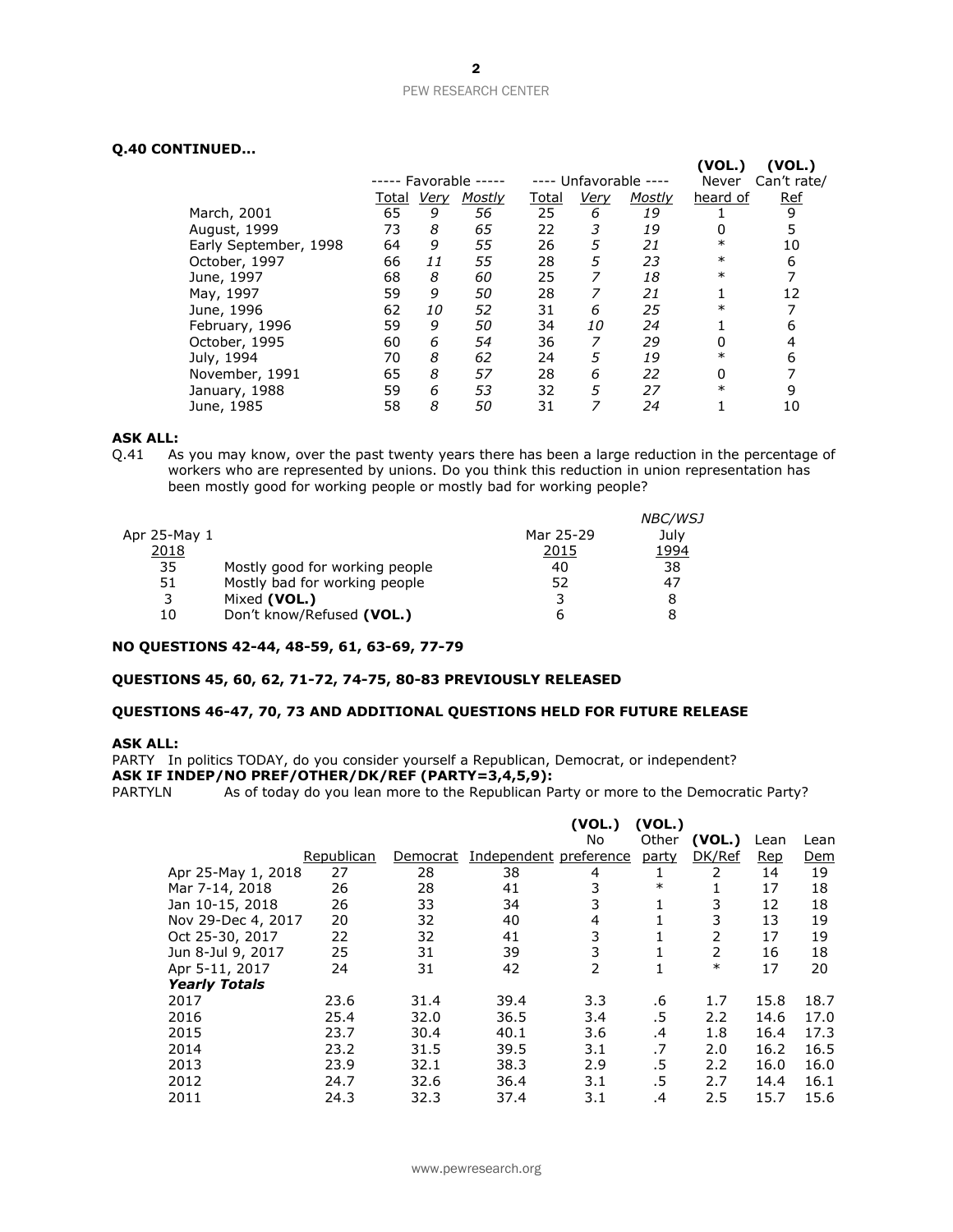# PEW RESEARCH CENTER

## **Q.40 CONTINUED...**

|                       |                       |      |               |              |      |                       | (VOL.)       | (VOL.)      |
|-----------------------|-----------------------|------|---------------|--------------|------|-----------------------|--------------|-------------|
|                       | ----- Favorable ----- |      |               |              |      | ---- Unfavorable ---- | <b>Never</b> | Can't rate/ |
|                       | Total                 | Very | <b>Mostly</b> | <u>Total</u> | Very | <b>Mostly</b>         | heard of     | <b>Ref</b>  |
| March, 2001           | 65                    | 9    | 56            | 25           | 6    | 19                    |              | 9           |
| August, 1999          | 73                    | 8    | 65            | 22           | 3    | 19                    | 0            | 5           |
| Early September, 1998 | 64                    | 9    | 55            | 26           | 5    | 21                    | $\ast$       | 10          |
| October, 1997         | 66                    | 11   | 55            | 28           | 5    | 23                    | $\ast$       | 6           |
| June, 1997            | 68                    | 8    | 60            | 25           |      | 18                    | $\ast$       |             |
| May, 1997             | 59                    | 9    | 50            | 28           |      | 21                    |              | 12          |
| June, 1996            | 62                    | 10   | 52            | 31           | 6    | 25                    | $\ast$       |             |
| February, 1996        | 59                    | 9    | 50            | 34           | 10   | 24                    |              | 6           |
| October, 1995         | 60                    | 6    | 54            | 36           |      | 29                    | 0            | 4           |
| July, 1994            | 70                    | 8    | 62            | 24           | 5    | 19                    | $\ast$       | 6           |
| November, 1991        | 65                    | 8    | 57            | 28           | 6    | 22                    | 0            |             |
| January, 1988         | 59                    | 6    | 53            | 32           | 5    | 27                    | $\ast$       | 9           |
| June, 1985            | 58                    | 8    | 50            | 31           |      | 24                    |              | 10          |

#### **ASK ALL:**

Q.41 As you may know, over the past twenty years there has been a large reduction in the percentage of workers who are represented by unions. Do you think this reduction in union representation has been mostly good for working people or mostly bad for working people?

|              |                                |           | <b>NBC/WSJ</b> |
|--------------|--------------------------------|-----------|----------------|
| Apr 25-May 1 |                                | Mar 25-29 | Julv           |
| 2018         |                                | 2015      | 1994           |
| 35           | Mostly good for working people | 40        | 38             |
| 51           | Mostly bad for working people  | 52        | 47             |
| 3            | Mixed (VOL.)                   | 3         |                |
| 10           | Don't know/Refused (VOL.)      |           |                |

## **NO QUESTIONS 42-44, 48-59, 61, 63-69, 77-79**

### **QUESTIONS 45, 60, 62, 71-72, 74-75, 80-83 PREVIOUSLY RELEASED**

#### **QUESTIONS 46-47, 70, 73 AND ADDITIONAL QUESTIONS HELD FOR FUTURE RELEASE**

#### **ASK ALL:**

PARTY In politics TODAY, do you consider yourself a Republican, Democrat, or independent? **ASK IF INDEP/NO PREF/OTHER/DK/REF (PARTY=3,4,5,9):**

PARTYLN As of today do you lean more to the Republican Party or more to the Democratic Party?

|                      |            |          |                        | (VOL.) | (VOL.) |        |      |      |
|----------------------|------------|----------|------------------------|--------|--------|--------|------|------|
|                      |            |          |                        | No     | Other  | (VOL.) | Lean | Lean |
|                      | Republican | Democrat | Independent preference |        | party  | DK/Ref | Rep  | Dem  |
| Apr 25-May 1, 2018   | 27         | 28       | 38                     | 4      |        | 2      | 14   | 19   |
| Mar 7-14, 2018       | 26         | 28       | 41                     | 3      | $\ast$ |        | 17   | 18   |
| Jan 10-15, 2018      | 26         | 33       | 34                     | 3      |        | 3      | 12   | 18   |
| Nov 29-Dec 4, 2017   | 20         | 32       | 40                     | 4      |        | 3      | 13   | 19   |
| Oct 25-30, 2017      | 22         | 32       | 41                     | 3      |        | 2      | 17   | 19   |
| Jun 8-Jul 9, 2017    | 25         | 31       | 39                     | 3      |        | 2      | 16   | 18   |
| Apr 5-11, 2017       | 24         | 31       | 42                     | 2      |        | $\ast$ | 17   | 20   |
| <b>Yearly Totals</b> |            |          |                        |        |        |        |      |      |
| 2017                 | 23.6       | 31.4     | 39.4                   | 3.3    | .6     | 1.7    | 15.8 | 18.7 |
| 2016                 | 25.4       | 32.0     | 36.5                   | 3.4    | .5     | 2.2    | 14.6 | 17.0 |
| 2015                 | 23.7       | 30.4     | 40.1                   | 3.6    | .4     | 1.8    | 16.4 | 17.3 |
| 2014                 | 23.2       | 31.5     | 39.5                   | 3.1    | .7     | 2.0    | 16.2 | 16.5 |
| 2013                 | 23.9       | 32.1     | 38.3                   | 2.9    | .5     | 2.2    | 16.0 | 16.0 |
| 2012                 | 24.7       | 32.6     | 36.4                   | 3.1    | .5     | 2.7    | 14.4 | 16.1 |
| 2011                 | 24.3       | 32.3     | 37.4                   | 3.1    | .4     | 2.5    | 15.7 | 15.6 |